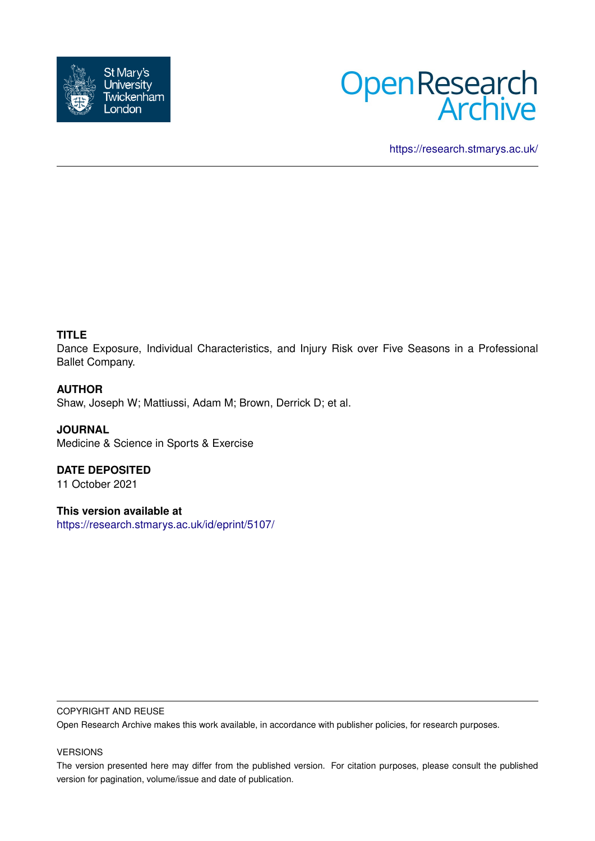



<https://research.stmarys.ac.uk/>

# **TITLE**

Dance Exposure, Individual Characteristics, and Injury Risk over Five Seasons in a Professional Ballet Company.

## **AUTHOR**

Shaw, Joseph W; Mattiussi, Adam M; Brown, Derrick D; et al.

**JOURNAL** Medicine & Science in Sports & Exercise

**DATE DEPOSITED** 11 October 2021

**This version available at**

<https://research.stmarys.ac.uk/id/eprint/5107/>

## COPYRIGHT AND REUSE

Open Research Archive makes this work available, in accordance with publisher policies, for research purposes.

## VERSIONS

The version presented here may differ from the published version. For citation purposes, please consult the published version for pagination, volume/issue and date of publication.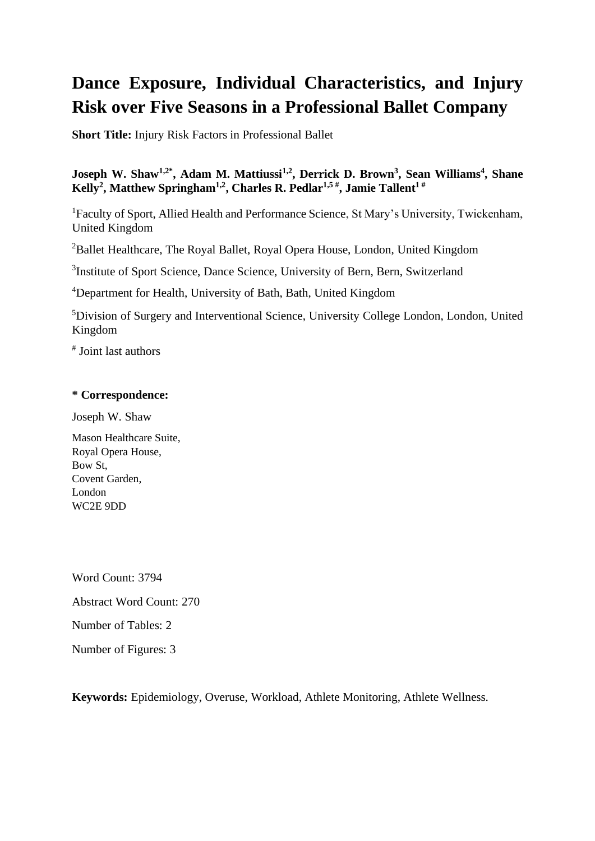# **Dance Exposure, Individual Characteristics, and Injury Risk over Five Seasons in a Professional Ballet Company**

**Short Title:** Injury Risk Factors in Professional Ballet

## **Joseph W. Shaw1,2\*, Adam M. Mattiussi1,2, Derrick D. Brown<sup>3</sup> , Sean Williams<sup>4</sup> , Shane Kelly<sup>2</sup> , Matthew Springham1,2, Charles R. Pedlar1,5 # , Jamie Tallent<sup>1</sup> #**

<sup>1</sup>Faculty of Sport, Allied Health and Performance Science, St Mary's University, Twickenham, United Kingdom

<sup>2</sup>Ballet Healthcare, The Royal Ballet, Royal Opera House, London, United Kingdom

<sup>3</sup>Institute of Sport Science, Dance Science, University of Bern, Bern, Switzerland

<sup>4</sup>Department for Health, University of Bath, Bath, United Kingdom

<sup>5</sup>Division of Surgery and Interventional Science, University College London, London, United Kingdom

# Joint last authors

## **\* Correspondence:**

Joseph W. Shaw

Mason Healthcare Suite, Royal Opera House, Bow St, Covent Garden, London WC2E 9DD

Word Count: 3794

Abstract Word Count: 270

Number of Tables: 2

Number of Figures: 3

**Keywords:** Epidemiology, Overuse, Workload, Athlete Monitoring, Athlete Wellness.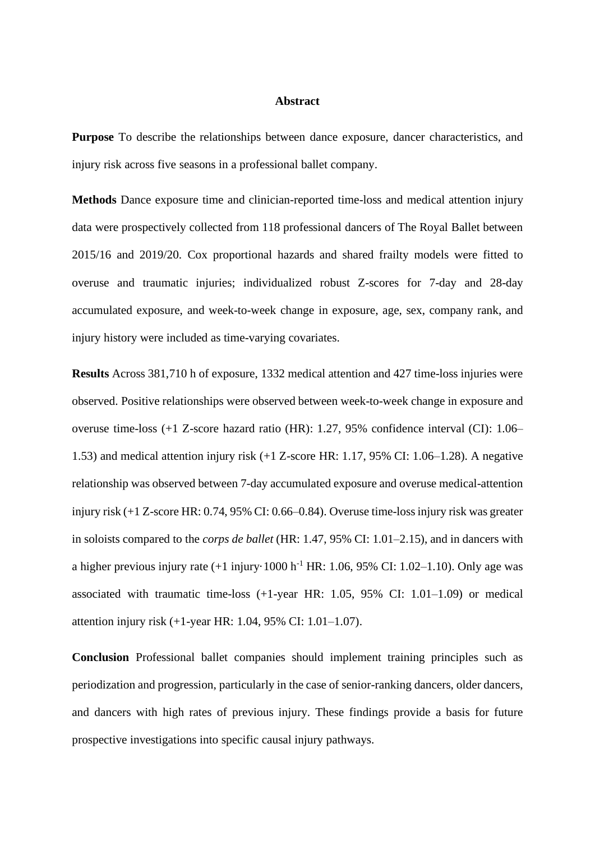#### **Abstract**

**Purpose** To describe the relationships between dance exposure, dancer characteristics, and injury risk across five seasons in a professional ballet company.

**Methods** Dance exposure time and clinician-reported time-loss and medical attention injury data were prospectively collected from 118 professional dancers of The Royal Ballet between 2015/16 and 2019/20. Cox proportional hazards and shared frailty models were fitted to overuse and traumatic injuries; individualized robust Z-scores for 7-day and 28-day accumulated exposure, and week-to-week change in exposure, age, sex, company rank, and injury history were included as time-varying covariates.

**Results** Across 381,710 h of exposure, 1332 medical attention and 427 time-loss injuries were observed. Positive relationships were observed between week-to-week change in exposure and overuse time-loss (+1 Z-score hazard ratio (HR): 1.27, 95% confidence interval (CI): 1.06– 1.53) and medical attention injury risk (+1 Z-score HR: 1.17, 95% CI: 1.06–1.28). A negative relationship was observed between 7-day accumulated exposure and overuse medical-attention injury risk (+1 Z-score HR: 0.74, 95% CI: 0.66–0.84). Overuse time-loss injury risk was greater in soloists compared to the *corps de ballet* (HR: 1.47, 95% CI: 1.01–2.15), and in dancers with a higher previous injury rate  $(+1 \text{ injury} \cdot 1000 \text{ h}^{-1} \text{ HR}$ : 1.06, 95% CI: 1.02–1.10). Only age was associated with traumatic time-loss (+1-year HR: 1.05, 95% CI: 1.01–1.09) or medical attention injury risk (+1-year HR: 1.04, 95% CI: 1.01–1.07).

**Conclusion** Professional ballet companies should implement training principles such as periodization and progression, particularly in the case of senior-ranking dancers, older dancers, and dancers with high rates of previous injury. These findings provide a basis for future prospective investigations into specific causal injury pathways.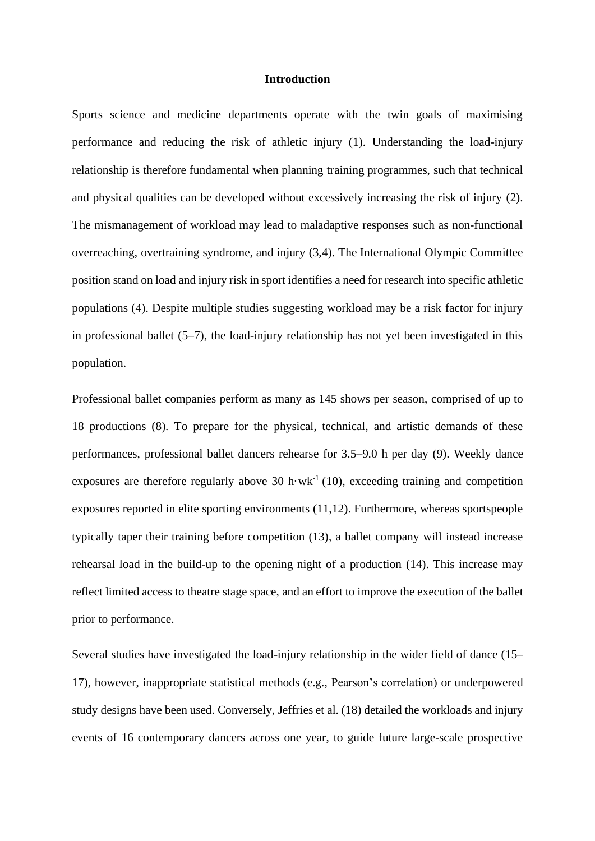### **Introduction**

Sports science and medicine departments operate with the twin goals of maximising performance and reducing the risk of athletic injury (1). Understanding the load-injury relationship is therefore fundamental when planning training programmes, such that technical and physical qualities can be developed without excessively increasing the risk of injury (2). The mismanagement of workload may lead to maladaptive responses such as non-functional overreaching, overtraining syndrome, and injury (3,4). The International Olympic Committee position stand on load and injury risk in sport identifies a need for research into specific athletic populations (4). Despite multiple studies suggesting workload may be a risk factor for injury in professional ballet (5–7), the load-injury relationship has not yet been investigated in this population.

Professional ballet companies perform as many as 145 shows per season, comprised of up to 18 productions (8). To prepare for the physical, technical, and artistic demands of these performances, professional ballet dancers rehearse for 3.5–9.0 h per day (9). Weekly dance exposures are therefore regularly above 30 h $\cdot$ wk<sup>-1</sup> (10), exceeding training and competition exposures reported in elite sporting environments (11,12). Furthermore, whereas sportspeople typically taper their training before competition (13), a ballet company will instead increase rehearsal load in the build-up to the opening night of a production (14). This increase may reflect limited access to theatre stage space, and an effort to improve the execution of the ballet prior to performance.

Several studies have investigated the load-injury relationship in the wider field of dance (15– 17), however, inappropriate statistical methods (e.g., Pearson's correlation) or underpowered study designs have been used. Conversely, Jeffries et al. (18) detailed the workloads and injury events of 16 contemporary dancers across one year, to guide future large-scale prospective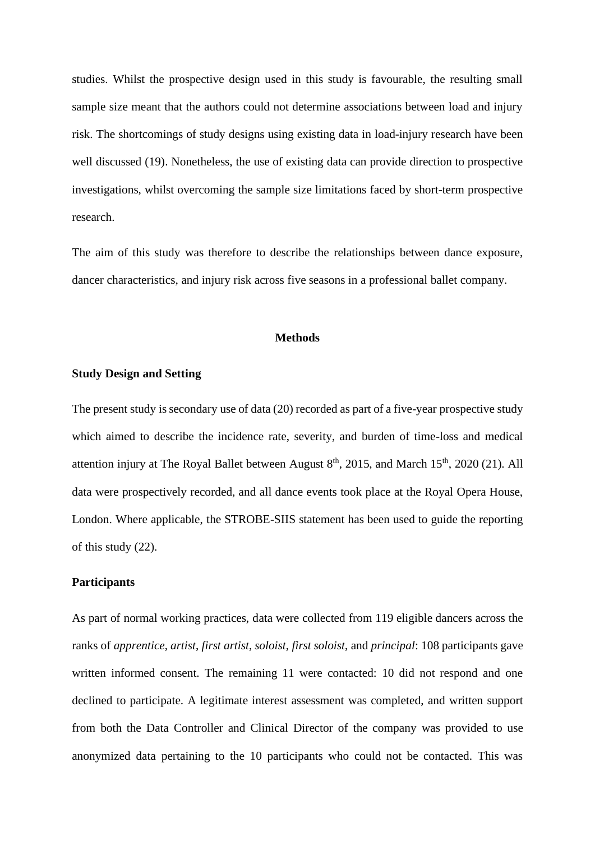studies. Whilst the prospective design used in this study is favourable, the resulting small sample size meant that the authors could not determine associations between load and injury risk. The shortcomings of study designs using existing data in load-injury research have been well discussed (19). Nonetheless, the use of existing data can provide direction to prospective investigations, whilst overcoming the sample size limitations faced by short-term prospective research.

The aim of this study was therefore to describe the relationships between dance exposure, dancer characteristics, and injury risk across five seasons in a professional ballet company.

## **Methods**

## **Study Design and Setting**

The present study is secondary use of data (20) recorded as part of a five-year prospective study which aimed to describe the incidence rate, severity, and burden of time-loss and medical attention injury at The Royal Ballet between August  $8<sup>th</sup>$ , 2015, and March 15<sup>th</sup>, 2020 (21). All data were prospectively recorded, and all dance events took place at the Royal Opera House, London. Where applicable, the STROBE-SIIS statement has been used to guide the reporting of this study (22).

## **Participants**

As part of normal working practices, data were collected from 119 eligible dancers across the ranks of *apprentice*, *artist*, *first artist*, *soloist*, *first soloist*, and *principal*: 108 participants gave written informed consent. The remaining 11 were contacted: 10 did not respond and one declined to participate. A legitimate interest assessment was completed, and written support from both the Data Controller and Clinical Director of the company was provided to use anonymized data pertaining to the 10 participants who could not be contacted. This was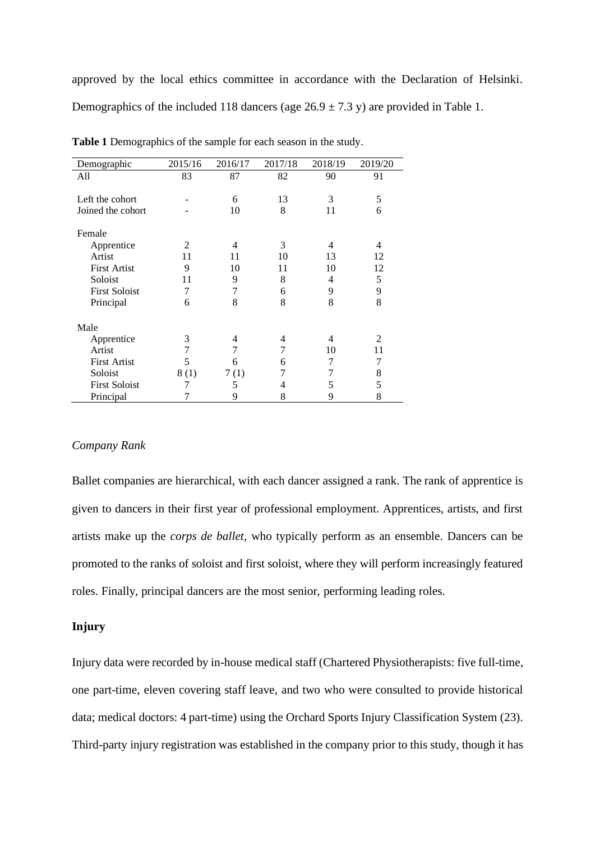approved by the local ethics committee in accordance with the Declaration of Helsinki. Demographics of the included 118 dancers (age  $26.9 \pm 7.3$  y) are provided in Table 1.

| Demographic          | 2015/16 | 2016/17 | 2017/18 | 2018/19 | 2019/20 |
|----------------------|---------|---------|---------|---------|---------|
| All                  | 83      | 87      | 82      | 90      | 91      |
|                      |         |         |         |         |         |
| Left the cohort      |         | 6       | 13      | 3       | 5       |
| Joined the cohort    |         | 10      | 8       | 11      | 6       |
|                      |         |         |         |         |         |
| Female               |         |         |         |         |         |
| Apprentice           | 2       | 4       | 3       | 4       | 4       |
| Artist               | 11      | 11      | 10      | 13      | 12      |
| <b>First Artist</b>  | 9       | 10      | 11      | 10      | 12      |
| Soloist              | 11      | 9       | 8       | 4       | 5       |
| <b>First Soloist</b> | 7       | 7       | 6       | 9       | 9       |
| Principal            | 6       | 8       | 8       | 8       | 8       |
|                      |         |         |         |         |         |
| Male                 |         |         |         |         |         |
| Apprentice           | 3       | 4       | 4       | 4       | 2       |
| Artist               | 7       | 7       |         | 10      | 11      |
| <b>First Artist</b>  | 5       | 6       | 6       | 7       | 7       |
| Soloist              | 8(1)    | 7(1)    | 7       | 7       | 8       |
| <b>First Soloist</b> |         | 5       | 4       | 5       | 5       |
| Principal            |         | 9       | 8       | 9       | 8       |

**Table 1** Demographics of the sample for each season in the study.

## *Company Rank*

Ballet companies are hierarchical, with each dancer assigned a rank. The rank of apprentice is given to dancers in their first year of professional employment. Apprentices, artists, and first artists make up the *corps de ballet*, who typically perform as an ensemble. Dancers can be promoted to the ranks of soloist and first soloist, where they will perform increasingly featured roles. Finally, principal dancers are the most senior, performing leading roles.

#### **Injury**

Injury data were recorded by in-house medical staff (Chartered Physiotherapists: five full-time, one part-time, eleven covering staff leave, and two who were consulted to provide historical data; medical doctors: 4 part-time) using the Orchard Sports Injury Classification System (23). Third-party injury registration was established in the company prior to this study, though it has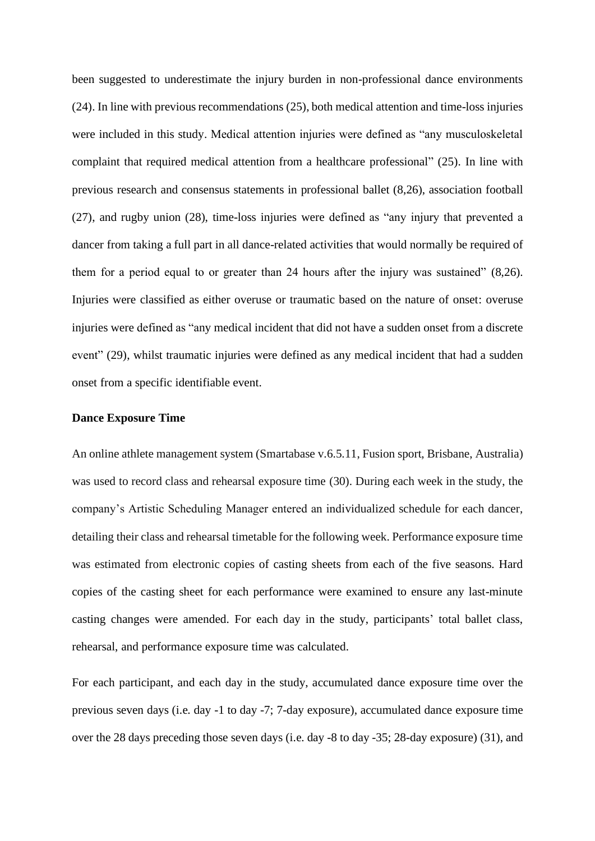been suggested to underestimate the injury burden in non-professional dance environments (24). In line with previous recommendations (25), both medical attention and time-loss injuries were included in this study. Medical attention injuries were defined as "any musculoskeletal complaint that required medical attention from a healthcare professional" (25). In line with previous research and consensus statements in professional ballet (8,26), association football (27), and rugby union (28), time-loss injuries were defined as "any injury that prevented a dancer from taking a full part in all dance-related activities that would normally be required of them for a period equal to or greater than 24 hours after the injury was sustained" (8,26). Injuries were classified as either overuse or traumatic based on the nature of onset: overuse injuries were defined as "any medical incident that did not have a sudden onset from a discrete event" (29), whilst traumatic injuries were defined as any medical incident that had a sudden onset from a specific identifiable event.

#### **Dance Exposure Time**

An online athlete management system (Smartabase v.6.5.11, Fusion sport, Brisbane, Australia) was used to record class and rehearsal exposure time (30). During each week in the study, the company's Artistic Scheduling Manager entered an individualized schedule for each dancer, detailing their class and rehearsal timetable for the following week. Performance exposure time was estimated from electronic copies of casting sheets from each of the five seasons. Hard copies of the casting sheet for each performance were examined to ensure any last-minute casting changes were amended. For each day in the study, participants' total ballet class, rehearsal, and performance exposure time was calculated.

For each participant, and each day in the study, accumulated dance exposure time over the previous seven days (i.e. day -1 to day -7; 7-day exposure), accumulated dance exposure time over the 28 days preceding those seven days (i.e. day -8 to day -35; 28-day exposure) (31), and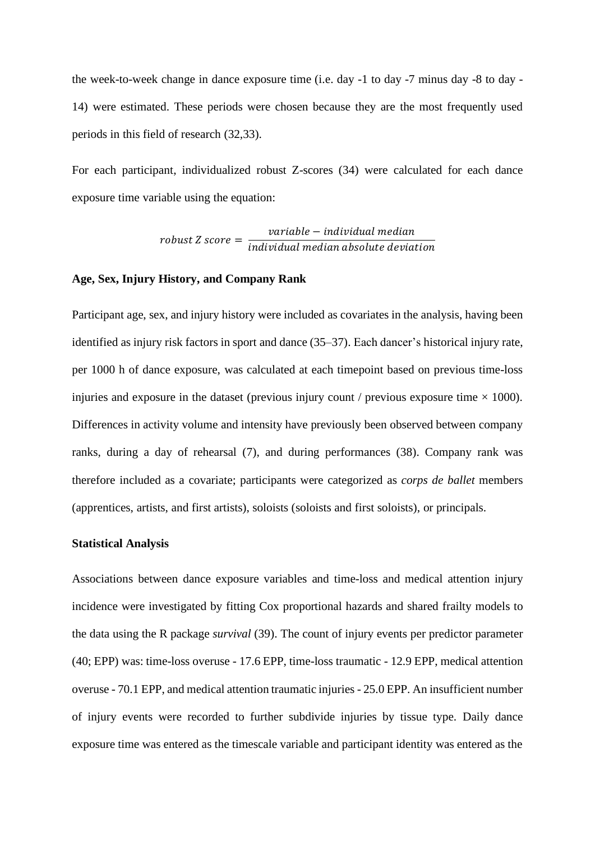the week-to-week change in dance exposure time (i.e. day -1 to day -7 minus day -8 to day - 14) were estimated. These periods were chosen because they are the most frequently used periods in this field of research (32,33).

For each participant, individualized robust Z-scores (34) were calculated for each dance exposure time variable using the equation:

> $robust Z score =$ variable – individual median individual median absolute deviation

## **Age, Sex, Injury History, and Company Rank**

Participant age, sex, and injury history were included as covariates in the analysis, having been identified as injury risk factors in sport and dance (35–37). Each dancer's historical injury rate, per 1000 h of dance exposure, was calculated at each timepoint based on previous time-loss injuries and exposure in the dataset (previous injury count / previous exposure time  $\times$  1000). Differences in activity volume and intensity have previously been observed between company ranks, during a day of rehearsal (7), and during performances (38). Company rank was therefore included as a covariate; participants were categorized as *corps de ballet* members (apprentices, artists, and first artists), soloists (soloists and first soloists), or principals.

#### **Statistical Analysis**

Associations between dance exposure variables and time-loss and medical attention injury incidence were investigated by fitting Cox proportional hazards and shared frailty models to the data using the R package *survival* (39). The count of injury events per predictor parameter (40; EPP) was: time-loss overuse - 17.6 EPP, time-loss traumatic - 12.9 EPP, medical attention overuse - 70.1 EPP, and medical attention traumatic injuries - 25.0 EPP. An insufficient number of injury events were recorded to further subdivide injuries by tissue type. Daily dance exposure time was entered as the timescale variable and participant identity was entered as the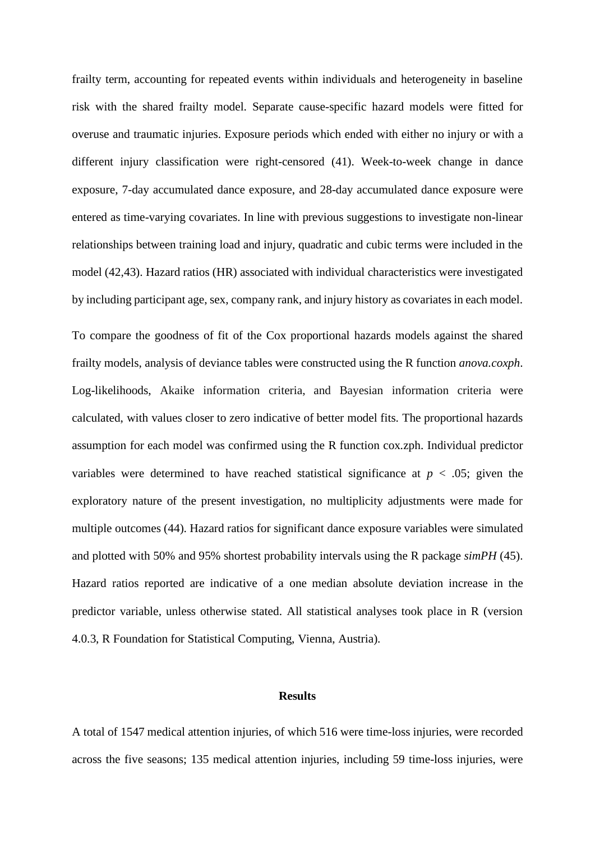frailty term, accounting for repeated events within individuals and heterogeneity in baseline risk with the shared frailty model. Separate cause-specific hazard models were fitted for overuse and traumatic injuries. Exposure periods which ended with either no injury or with a different injury classification were right-censored (41). Week-to-week change in dance exposure, 7-day accumulated dance exposure, and 28-day accumulated dance exposure were entered as time-varying covariates. In line with previous suggestions to investigate non-linear relationships between training load and injury, quadratic and cubic terms were included in the model (42,43). Hazard ratios (HR) associated with individual characteristics were investigated by including participant age, sex, company rank, and injury history as covariates in each model.

To compare the goodness of fit of the Cox proportional hazards models against the shared frailty models, analysis of deviance tables were constructed using the R function *anova.coxph*. Log-likelihoods, Akaike information criteria, and Bayesian information criteria were calculated, with values closer to zero indicative of better model fits. The proportional hazards assumption for each model was confirmed using the R function cox.zph. Individual predictor variables were determined to have reached statistical significance at  $p < .05$ ; given the exploratory nature of the present investigation, no multiplicity adjustments were made for multiple outcomes (44). Hazard ratios for significant dance exposure variables were simulated and plotted with 50% and 95% shortest probability intervals using the R package *simPH* (45). Hazard ratios reported are indicative of a one median absolute deviation increase in the predictor variable, unless otherwise stated. All statistical analyses took place in R (version 4.0.3, R Foundation for Statistical Computing, Vienna, Austria).

## **Results**

A total of 1547 medical attention injuries, of which 516 were time-loss injuries, were recorded across the five seasons; 135 medical attention injuries, including 59 time-loss injuries, were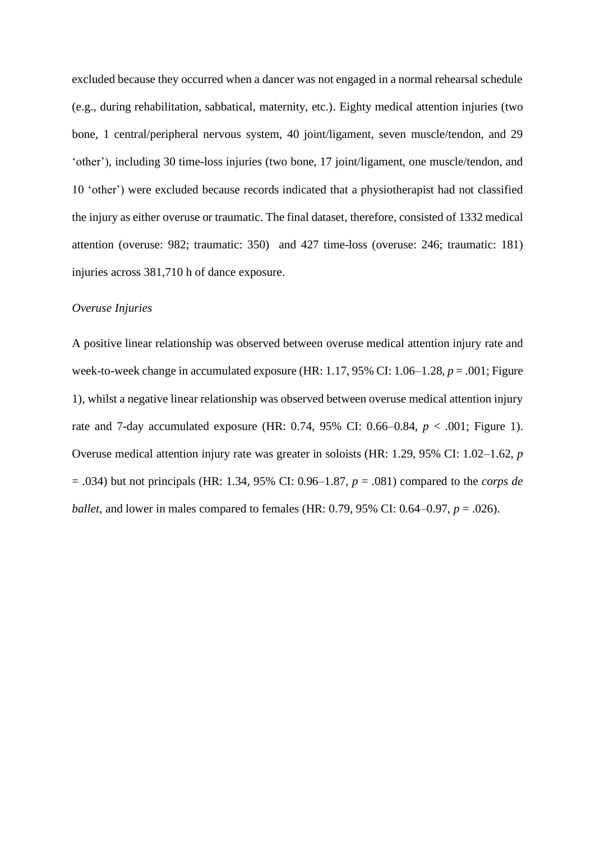excluded because they occurred when a dancer was not engaged in a normal rehearsal schedule (e.g., during rehabilitation, sabbatical, maternity, etc.). Eighty medical attention injuries (two bone, 1 central/peripheral nervous system, 40 joint/ligament, seven muscle/tendon, and 29 'other'), including 30 time-loss injuries (two bone, 17 joint/ligament, one muscle/tendon, and 10 'other') were excluded because records indicated that a physiotherapist had not classified the injury as either overuse or traumatic. The final dataset, therefore, consisted of 1332 medical attention (overuse: 982; traumatic: 350) and 427 time-loss (overuse: 246; traumatic: 181) injuries across 381,710 h of dance exposure.

#### *Overuse Injuries*

A positive linear relationship was observed between overuse medical attention injury rate and week-to-week change in accumulated exposure (HR: 1.17, 95% CI: 1.06–1.28, *p* = .001; Figure 1), whilst a negative linear relationship was observed between overuse medical attention injury rate and 7-day accumulated exposure (HR: 0.74, 95% CI: 0.66–0.84, *p* < .001; Figure 1). Overuse medical attention injury rate was greater in soloists (HR: 1.29, 95% CI: 1.02–1.62, *p* = .034) but not principals (HR: 1.34, 95% CI: 0.96–1.87, *p* = .081) compared to the *corps de ballet*, and lower in males compared to females (HR: 0.79, 95% CI: 0.64–0.97, *p* = .026).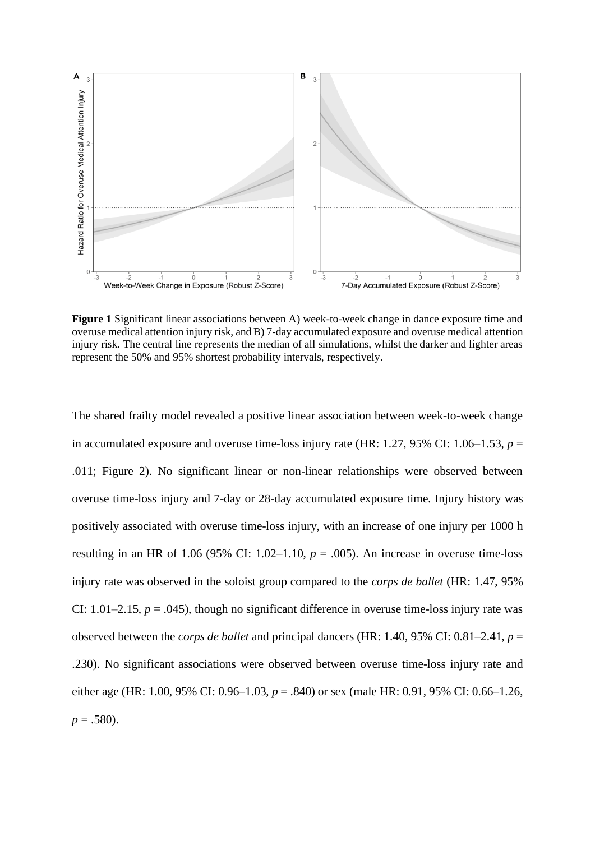

**Figure 1** Significant linear associations between A) week-to-week change in dance exposure time and overuse medical attention injury risk, and B) 7-day accumulated exposure and overuse medical attention injury risk. The central line represents the median of all simulations, whilst the darker and lighter areas represent the 50% and 95% shortest probability intervals, respectively.

The shared frailty model revealed a positive linear association between week-to-week change in accumulated exposure and overuse time-loss injury rate (HR:  $1.27$ ,  $95\%$  CI:  $1.06-1.53$ ,  $p =$ .011; Figure 2). No significant linear or non-linear relationships were observed between overuse time-loss injury and 7-day or 28-day accumulated exposure time. Injury history was positively associated with overuse time-loss injury, with an increase of one injury per 1000 h resulting in an HR of 1.06 (95% CI: 1.02–1.10,  $p = .005$ ). An increase in overuse time-loss injury rate was observed in the soloist group compared to the *corps de ballet* (HR: 1.47, 95% CI:  $1.01-2.15$ ,  $p = .045$ ), though no significant difference in overuse time-loss injury rate was observed between the *corps de ballet* and principal dancers (HR: 1.40, 95% CI: 0.81–2.41, *p* = .230). No significant associations were observed between overuse time-loss injury rate and either age (HR: 1.00, 95% CI: 0.96–1.03, *p* = .840) or sex (male HR: 0.91, 95% CI: 0.66–1.26,  $p = .580$ ).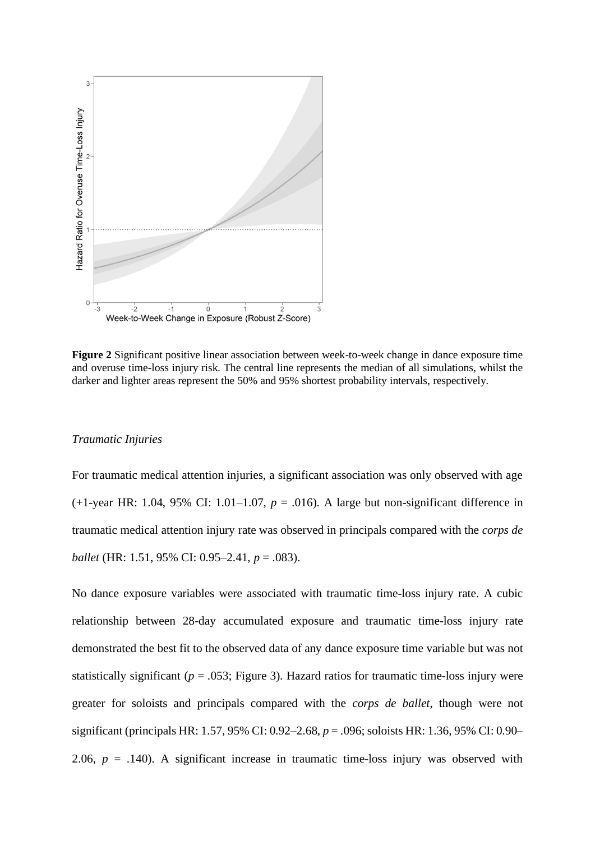

**Figure 2** Significant positive linear association between week-to-week change in dance exposure time and overuse time-loss injury risk. The central line represents the median of all simulations, whilst the darker and lighter areas represent the 50% and 95% shortest probability intervals, respectively.

#### *Traumatic Injuries*

For traumatic medical attention injuries, a significant association was only observed with age  $(+1$ -year HR: 1.04, 95% CI: 1.01–1.07,  $p = .016$ ). A large but non-significant difference in traumatic medical attention injury rate was observed in principals compared with the *corps de ballet* (HR: 1.51, 95% CI: 0.95–2.41, *p* = .083).

No dance exposure variables were associated with traumatic time-loss injury rate. A cubic relationship between 28-day accumulated exposure and traumatic time-loss injury rate demonstrated the best fit to the observed data of any dance exposure time variable but was not statistically significant ( $p = .053$ ; Figure 3). Hazard ratios for traumatic time-loss injury were greater for soloists and principals compared with the *corps de ballet*, though were not significant (principals HR: 1.57, 95% CI: 0.92–2.68, *p* = .096; soloists HR: 1.36, 95% CI: 0.90– 2.06,  $p = .140$ ). A significant increase in traumatic time-loss injury was observed with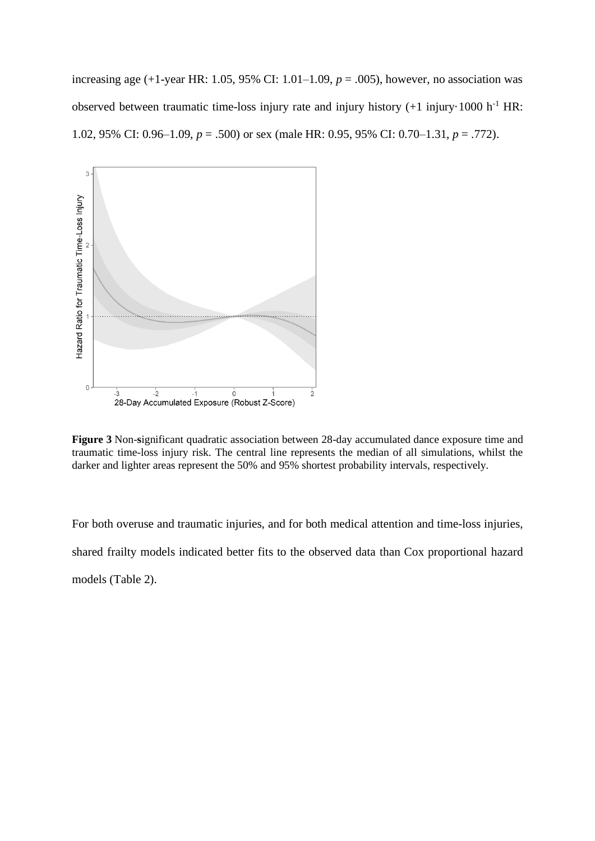increasing age (+1-year HR: 1.05, 95% CI: 1.01–1.09, *p* = .005), however, no association was observed between traumatic time-loss injury rate and injury history (+1 injury·1000 h<sup>-1</sup> HR: 1.02, 95% CI: 0.96–1.09, *p* = .500) or sex (male HR: 0.95, 95% CI: 0.70–1.31, *p* = .772).



**Figure 3** Non-**s**ignificant quadratic association between 28-day accumulated dance exposure time and traumatic time-loss injury risk. The central line represents the median of all simulations, whilst the darker and lighter areas represent the 50% and 95% shortest probability intervals, respectively.

For both overuse and traumatic injuries, and for both medical attention and time-loss injuries, shared frailty models indicated better fits to the observed data than Cox proportional hazard models (Table 2).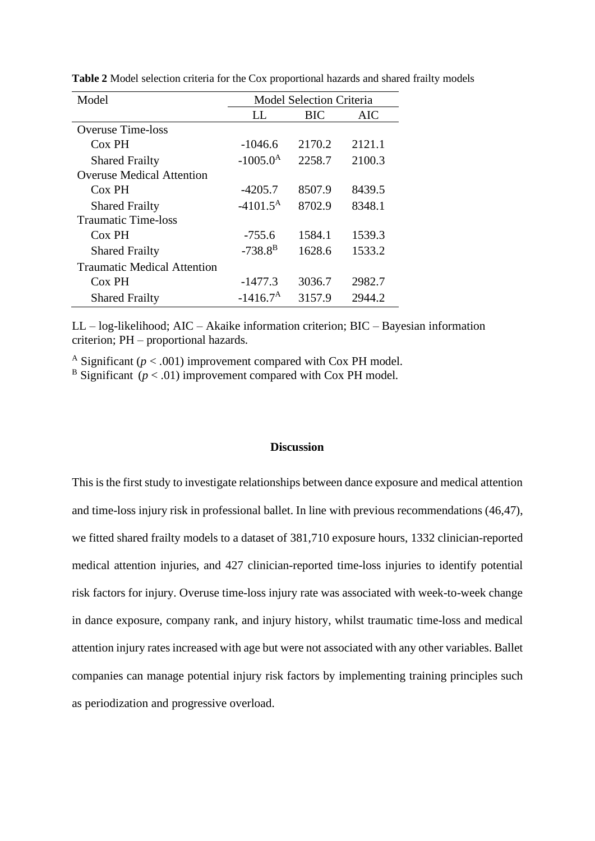| Model                              | <b>Model Selection Criteria</b> |        |        |
|------------------------------------|---------------------------------|--------|--------|
|                                    | LL                              | BIC    | AIC    |
| <b>Overuse Time-loss</b>           |                                 |        |        |
| $Cox$ PH                           | $-1046.6$                       | 2170.2 | 2121.1 |
| <b>Shared Frailty</b>              | $-1005.0^{A}$                   | 2258.7 | 2100.3 |
| <b>Overuse Medical Attention</b>   |                                 |        |        |
| $Cox$ PH                           | $-4205.7$                       | 8507.9 | 8439.5 |
| <b>Shared Frailty</b>              | $-4101.5^{\rm A}$               | 8702.9 | 8348.1 |
| <b>Traumatic Time-loss</b>         |                                 |        |        |
| $Cox$ PH                           | $-755.6$                        | 1584.1 | 1539.3 |
| <b>Shared Frailty</b>              | $-738.8^{B}$                    | 1628.6 | 1533.2 |
| <b>Traumatic Medical Attention</b> |                                 |        |        |
| Cox PH                             | $-1477.3$                       | 3036.7 | 2982.7 |
| <b>Shared Frailty</b>              | $-1416.7A$                      | 3157.9 | 2944.2 |

**Table 2** Model selection criteria for the Cox proportional hazards and shared frailty models

LL – log-likelihood; AIC – Akaike information criterion; BIC – Bayesian information criterion; PH – proportional hazards.

<sup>A</sup> Significant ( $p < .001$ ) improvement compared with Cox PH model.

 $B$  Significant ( $p < .01$ ) improvement compared with Cox PH model.

## **Discussion**

This is the first study to investigate relationships between dance exposure and medical attention and time-loss injury risk in professional ballet. In line with previous recommendations (46,47), we fitted shared frailty models to a dataset of 381,710 exposure hours, 1332 clinician-reported medical attention injuries, and 427 clinician-reported time-loss injuries to identify potential risk factors for injury. Overuse time-loss injury rate was associated with week-to-week change in dance exposure, company rank, and injury history, whilst traumatic time-loss and medical attention injury rates increased with age but were not associated with any other variables. Ballet companies can manage potential injury risk factors by implementing training principles such as periodization and progressive overload.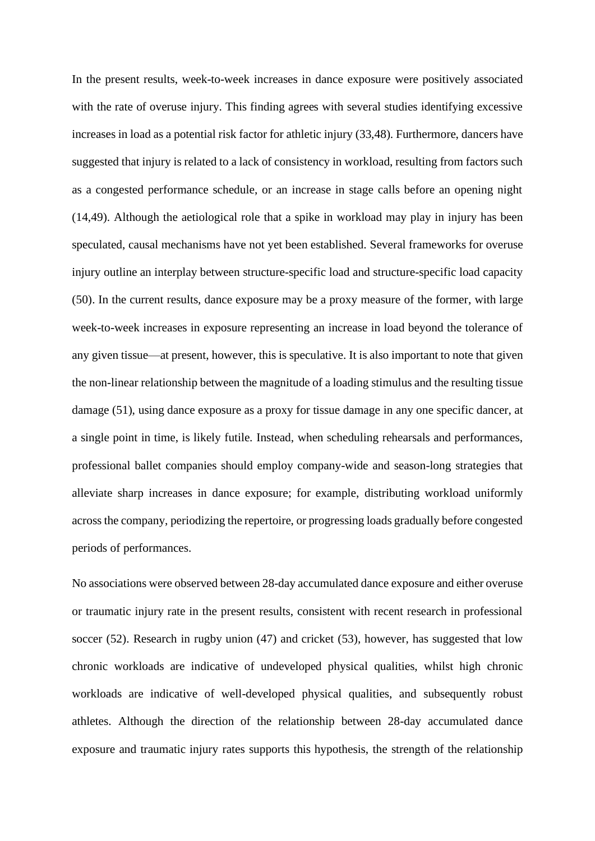In the present results, week-to-week increases in dance exposure were positively associated with the rate of overuse injury. This finding agrees with several studies identifying excessive increases in load as a potential risk factor for athletic injury (33,48). Furthermore, dancers have suggested that injury is related to a lack of consistency in workload, resulting from factors such as a congested performance schedule, or an increase in stage calls before an opening night (14,49). Although the aetiological role that a spike in workload may play in injury has been speculated, causal mechanisms have not yet been established. Several frameworks for overuse injury outline an interplay between structure-specific load and structure-specific load capacity (50). In the current results, dance exposure may be a proxy measure of the former, with large week-to-week increases in exposure representing an increase in load beyond the tolerance of any given tissue—at present, however, this is speculative. It is also important to note that given the non-linear relationship between the magnitude of a loading stimulus and the resulting tissue damage (51), using dance exposure as a proxy for tissue damage in any one specific dancer, at a single point in time, is likely futile. Instead, when scheduling rehearsals and performances, professional ballet companies should employ company-wide and season-long strategies that alleviate sharp increases in dance exposure; for example, distributing workload uniformly across the company, periodizing the repertoire, or progressing loads gradually before congested periods of performances.

No associations were observed between 28-day accumulated dance exposure and either overuse or traumatic injury rate in the present results, consistent with recent research in professional soccer (52). Research in rugby union (47) and cricket (53), however, has suggested that low chronic workloads are indicative of undeveloped physical qualities, whilst high chronic workloads are indicative of well-developed physical qualities, and subsequently robust athletes. Although the direction of the relationship between 28-day accumulated dance exposure and traumatic injury rates supports this hypothesis, the strength of the relationship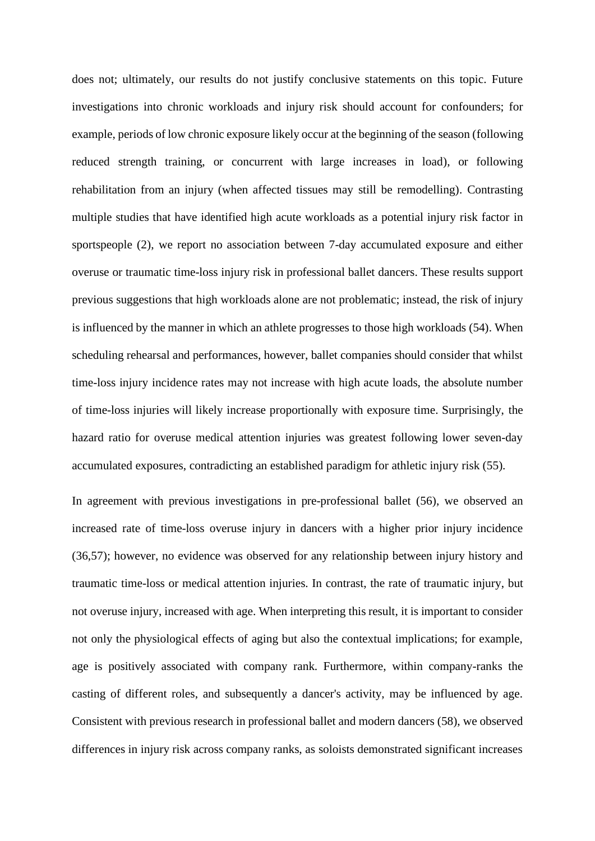does not; ultimately, our results do not justify conclusive statements on this topic. Future investigations into chronic workloads and injury risk should account for confounders; for example, periods of low chronic exposure likely occur at the beginning of the season (following reduced strength training, or concurrent with large increases in load), or following rehabilitation from an injury (when affected tissues may still be remodelling). Contrasting multiple studies that have identified high acute workloads as a potential injury risk factor in sportspeople (2), we report no association between 7-day accumulated exposure and either overuse or traumatic time-loss injury risk in professional ballet dancers. These results support previous suggestions that high workloads alone are not problematic; instead, the risk of injury is influenced by the manner in which an athlete progresses to those high workloads (54). When scheduling rehearsal and performances, however, ballet companies should consider that whilst time-loss injury incidence rates may not increase with high acute loads, the absolute number of time-loss injuries will likely increase proportionally with exposure time. Surprisingly, the hazard ratio for overuse medical attention injuries was greatest following lower seven-day accumulated exposures, contradicting an established paradigm for athletic injury risk (55).

In agreement with previous investigations in pre-professional ballet (56), we observed an increased rate of time-loss overuse injury in dancers with a higher prior injury incidence (36,57); however, no evidence was observed for any relationship between injury history and traumatic time-loss or medical attention injuries. In contrast, the rate of traumatic injury, but not overuse injury, increased with age. When interpreting this result, it is important to consider not only the physiological effects of aging but also the contextual implications; for example, age is positively associated with company rank. Furthermore, within company-ranks the casting of different roles, and subsequently a dancer's activity, may be influenced by age. Consistent with previous research in professional ballet and modern dancers (58), we observed differences in injury risk across company ranks, as soloists demonstrated significant increases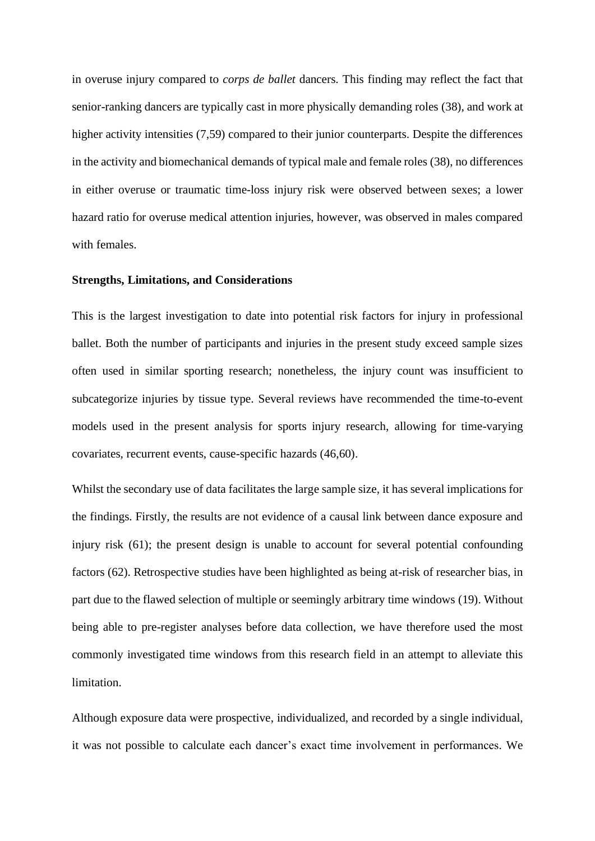in overuse injury compared to *corps de ballet* dancers. This finding may reflect the fact that senior-ranking dancers are typically cast in more physically demanding roles (38), and work at higher activity intensities (7,59) compared to their junior counterparts. Despite the differences in the activity and biomechanical demands of typical male and female roles (38), no differences in either overuse or traumatic time-loss injury risk were observed between sexes; a lower hazard ratio for overuse medical attention injuries, however, was observed in males compared with females.

### **Strengths, Limitations, and Considerations**

This is the largest investigation to date into potential risk factors for injury in professional ballet. Both the number of participants and injuries in the present study exceed sample sizes often used in similar sporting research; nonetheless, the injury count was insufficient to subcategorize injuries by tissue type. Several reviews have recommended the time-to-event models used in the present analysis for sports injury research, allowing for time-varying covariates, recurrent events, cause-specific hazards (46,60).

Whilst the secondary use of data facilitates the large sample size, it has several implications for the findings. Firstly, the results are not evidence of a causal link between dance exposure and injury risk (61); the present design is unable to account for several potential confounding factors (62). Retrospective studies have been highlighted as being at-risk of researcher bias, in part due to the flawed selection of multiple or seemingly arbitrary time windows (19). Without being able to pre-register analyses before data collection, we have therefore used the most commonly investigated time windows from this research field in an attempt to alleviate this limitation.

Although exposure data were prospective, individualized, and recorded by a single individual, it was not possible to calculate each dancer's exact time involvement in performances. We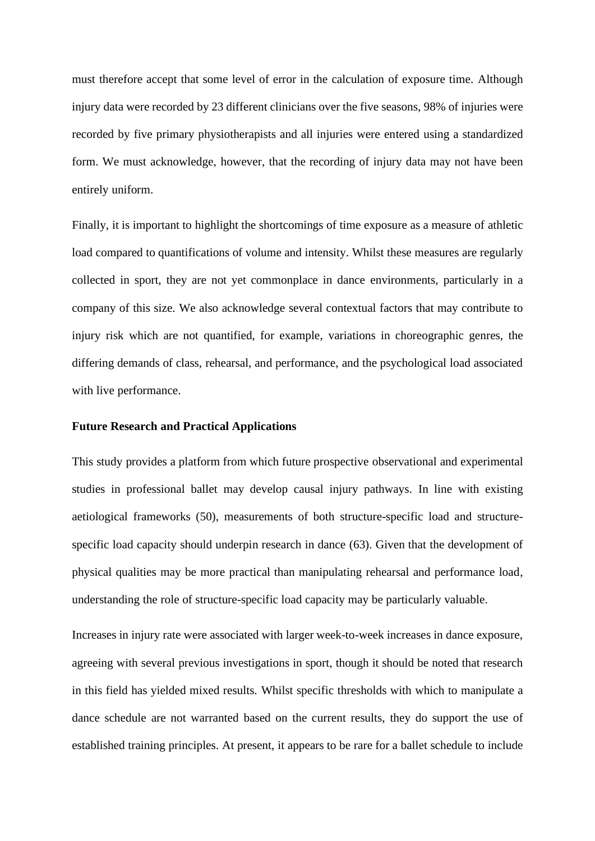must therefore accept that some level of error in the calculation of exposure time. Although injury data were recorded by 23 different clinicians over the five seasons, 98% of injuries were recorded by five primary physiotherapists and all injuries were entered using a standardized form. We must acknowledge, however, that the recording of injury data may not have been entirely uniform.

Finally, it is important to highlight the shortcomings of time exposure as a measure of athletic load compared to quantifications of volume and intensity. Whilst these measures are regularly collected in sport, they are not yet commonplace in dance environments, particularly in a company of this size. We also acknowledge several contextual factors that may contribute to injury risk which are not quantified, for example, variations in choreographic genres, the differing demands of class, rehearsal, and performance, and the psychological load associated with live performance.

## **Future Research and Practical Applications**

This study provides a platform from which future prospective observational and experimental studies in professional ballet may develop causal injury pathways. In line with existing aetiological frameworks (50), measurements of both structure-specific load and structurespecific load capacity should underpin research in dance (63). Given that the development of physical qualities may be more practical than manipulating rehearsal and performance load, understanding the role of structure-specific load capacity may be particularly valuable.

Increases in injury rate were associated with larger week-to-week increases in dance exposure, agreeing with several previous investigations in sport, though it should be noted that research in this field has yielded mixed results. Whilst specific thresholds with which to manipulate a dance schedule are not warranted based on the current results, they do support the use of established training principles. At present, it appears to be rare for a ballet schedule to include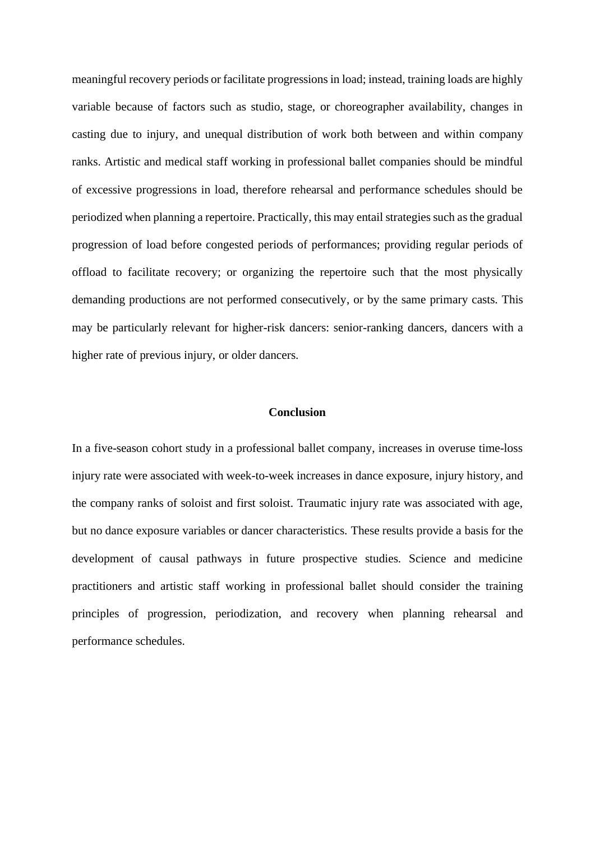meaningful recovery periods or facilitate progressions in load; instead, training loads are highly variable because of factors such as studio, stage, or choreographer availability, changes in casting due to injury, and unequal distribution of work both between and within company ranks. Artistic and medical staff working in professional ballet companies should be mindful of excessive progressions in load, therefore rehearsal and performance schedules should be periodized when planning a repertoire. Practically, this may entail strategies such as the gradual progression of load before congested periods of performances; providing regular periods of offload to facilitate recovery; or organizing the repertoire such that the most physically demanding productions are not performed consecutively, or by the same primary casts. This may be particularly relevant for higher-risk dancers: senior-ranking dancers, dancers with a higher rate of previous injury, or older dancers.

## **Conclusion**

In a five-season cohort study in a professional ballet company, increases in overuse time-loss injury rate were associated with week-to-week increases in dance exposure, injury history, and the company ranks of soloist and first soloist. Traumatic injury rate was associated with age, but no dance exposure variables or dancer characteristics. These results provide a basis for the development of causal pathways in future prospective studies. Science and medicine practitioners and artistic staff working in professional ballet should consider the training principles of progression, periodization, and recovery when planning rehearsal and performance schedules.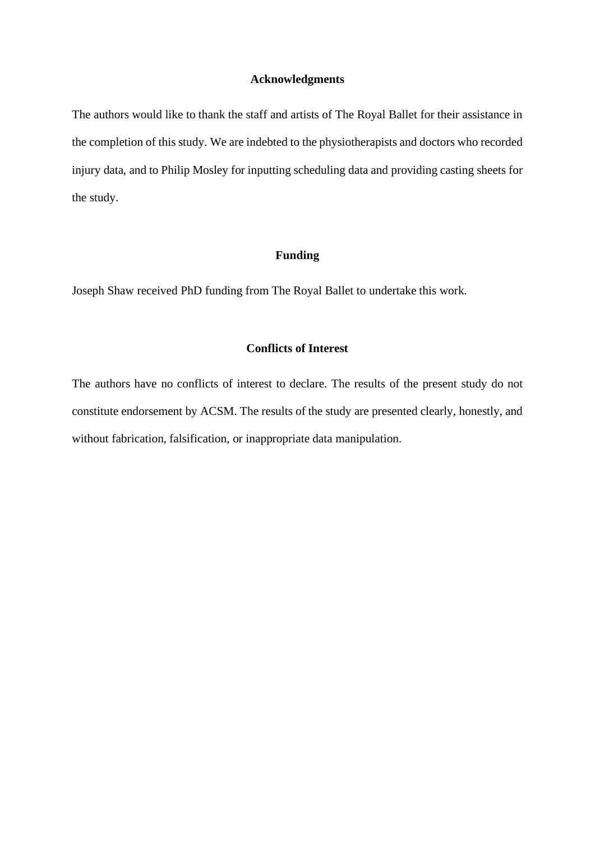## **Acknowledgments**

The authors would like to thank the staff and artists of The Royal Ballet for their assistance in the completion of this study. We are indebted to the physiotherapists and doctors who recorded injury data, and to Philip Mosley for inputting scheduling data and providing casting sheets for the study.

## **Funding**

Joseph Shaw received PhD funding from The Royal Ballet to undertake this work.

## **Conflicts of Interest**

The authors have no conflicts of interest to declare. The results of the present study do not constitute endorsement by ACSM. The results of the study are presented clearly, honestly, and without fabrication, falsification, or inappropriate data manipulation.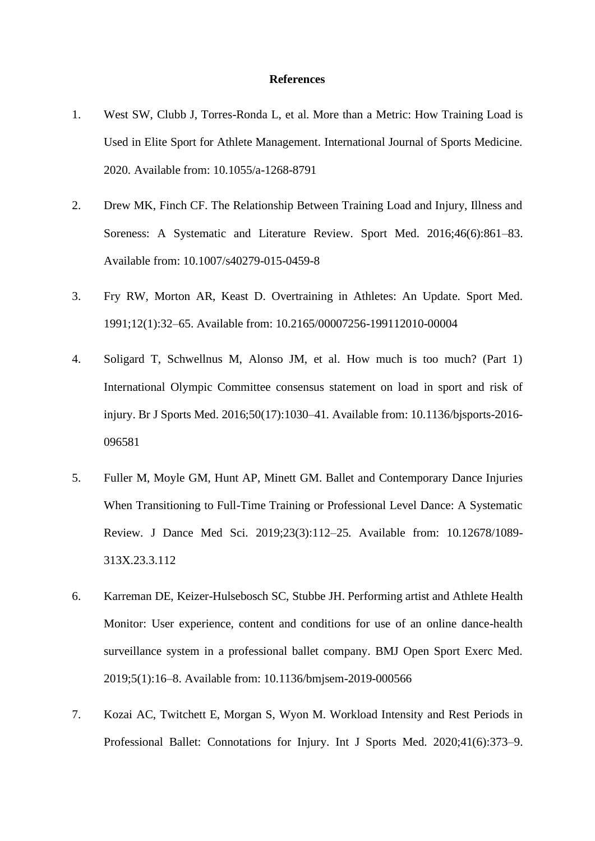#### **References**

- 1. West SW, Clubb J, Torres-Ronda L, et al. More than a Metric: How Training Load is Used in Elite Sport for Athlete Management. International Journal of Sports Medicine. 2020. Available from: 10.1055/a-1268-8791
- 2. Drew MK, Finch CF. The Relationship Between Training Load and Injury, Illness and Soreness: A Systematic and Literature Review. Sport Med. 2016;46(6):861–83. Available from: 10.1007/s40279-015-0459-8
- 3. Fry RW, Morton AR, Keast D. Overtraining in Athletes: An Update. Sport Med. 1991;12(1):32–65. Available from: 10.2165/00007256-199112010-00004
- 4. Soligard T, Schwellnus M, Alonso JM, et al. How much is too much? (Part 1) International Olympic Committee consensus statement on load in sport and risk of injury. Br J Sports Med. 2016;50(17):1030–41. Available from: 10.1136/bjsports-2016- 096581
- 5. Fuller M, Moyle GM, Hunt AP, Minett GM. Ballet and Contemporary Dance Injuries When Transitioning to Full-Time Training or Professional Level Dance: A Systematic Review. J Dance Med Sci. 2019;23(3):112–25. Available from: 10.12678/1089- 313X.23.3.112
- 6. Karreman DE, Keizer-Hulsebosch SC, Stubbe JH. Performing artist and Athlete Health Monitor: User experience, content and conditions for use of an online dance-health surveillance system in a professional ballet company. BMJ Open Sport Exerc Med. 2019;5(1):16–8. Available from: 10.1136/bmjsem-2019-000566
- 7. Kozai AC, Twitchett E, Morgan S, Wyon M. Workload Intensity and Rest Periods in Professional Ballet: Connotations for Injury. Int J Sports Med. 2020;41(6):373–9.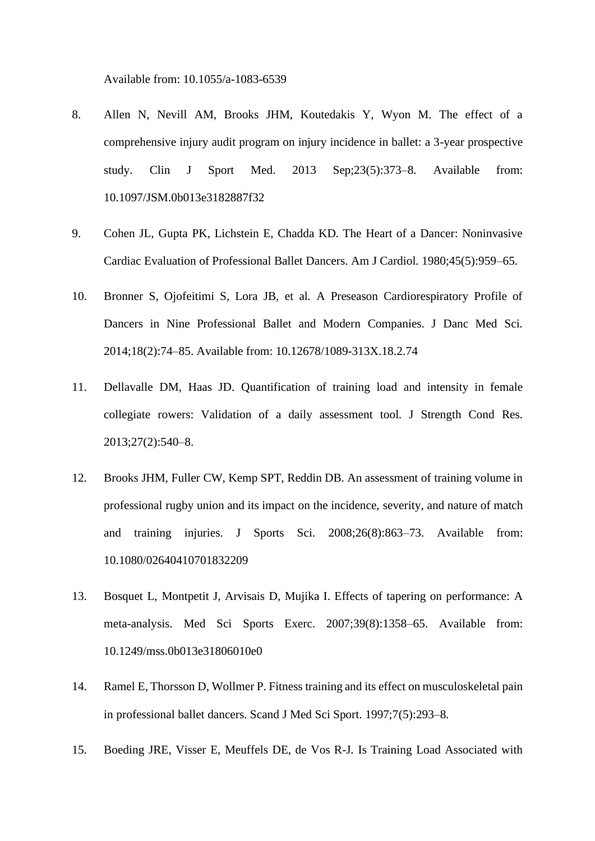Available from: 10.1055/a-1083-6539

- 8. Allen N, Nevill AM, Brooks JHM, Koutedakis Y, Wyon M. The effect of a comprehensive injury audit program on injury incidence in ballet: a 3-year prospective study. Clin J Sport Med. 2013 Sep;23(5):373–8. Available from: 10.1097/JSM.0b013e3182887f32
- 9. Cohen JL, Gupta PK, Lichstein E, Chadda KD. The Heart of a Dancer: Noninvasive Cardiac Evaluation of Professional Ballet Dancers. Am J Cardiol. 1980;45(5):959–65.
- 10. Bronner S, Ojofeitimi S, Lora JB, et al. A Preseason Cardiorespiratory Profile of Dancers in Nine Professional Ballet and Modern Companies. J Danc Med Sci. 2014;18(2):74–85. Available from: 10.12678/1089-313X.18.2.74
- 11. Dellavalle DM, Haas JD. Quantification of training load and intensity in female collegiate rowers: Validation of a daily assessment tool. J Strength Cond Res. 2013;27(2):540–8.
- 12. Brooks JHM, Fuller CW, Kemp SPT, Reddin DB. An assessment of training volume in professional rugby union and its impact on the incidence, severity, and nature of match and training injuries. J Sports Sci. 2008;26(8):863–73. Available from: 10.1080/02640410701832209
- 13. Bosquet L, Montpetit J, Arvisais D, Mujika I. Effects of tapering on performance: A meta-analysis. Med Sci Sports Exerc. 2007;39(8):1358–65. Available from: 10.1249/mss.0b013e31806010e0
- 14. Ramel E, Thorsson D, Wollmer P. Fitness training and its effect on musculoskeletal pain in professional ballet dancers. Scand J Med Sci Sport. 1997;7(5):293–8.
- 15. Boeding JRE, Visser E, Meuffels DE, de Vos R-J. Is Training Load Associated with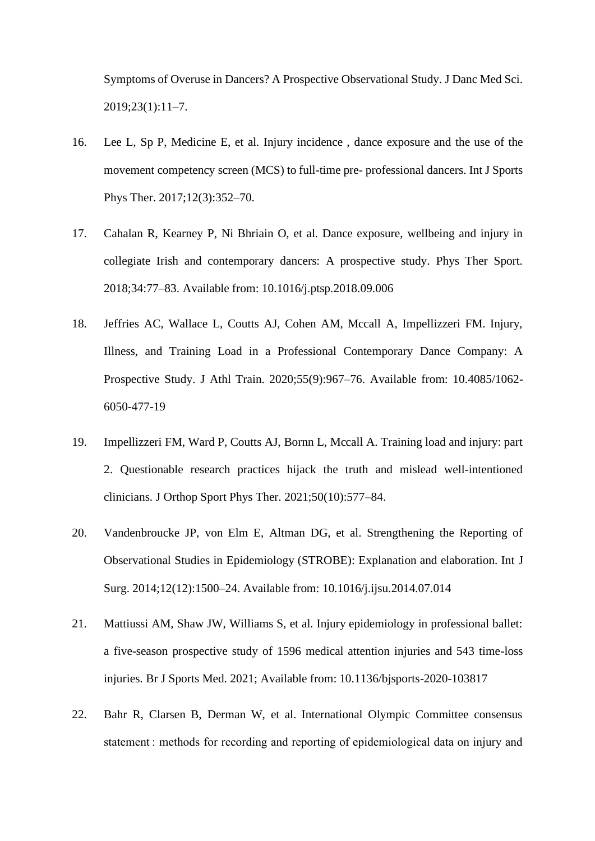Symptoms of Overuse in Dancers? A Prospective Observational Study. J Danc Med Sci. 2019;23(1):11–7.

- 16. Lee L, Sp P, Medicine E, et al. Injury incidence , dance exposure and the use of the movement competency screen (MCS) to full-time pre- professional dancers. Int J Sports Phys Ther. 2017;12(3):352–70.
- 17. Cahalan R, Kearney P, Ni Bhriain O, et al. Dance exposure, wellbeing and injury in collegiate Irish and contemporary dancers: A prospective study. Phys Ther Sport. 2018;34:77–83. Available from: 10.1016/j.ptsp.2018.09.006
- 18. Jeffries AC, Wallace L, Coutts AJ, Cohen AM, Mccall A, Impellizzeri FM. Injury, Illness, and Training Load in a Professional Contemporary Dance Company: A Prospective Study. J Athl Train. 2020;55(9):967–76. Available from: 10.4085/1062- 6050-477-19
- 19. Impellizzeri FM, Ward P, Coutts AJ, Bornn L, Mccall A. Training load and injury: part 2. Questionable research practices hijack the truth and mislead well-intentioned clinicians. J Orthop Sport Phys Ther. 2021;50(10):577–84.
- 20. Vandenbroucke JP, von Elm E, Altman DG, et al. Strengthening the Reporting of Observational Studies in Epidemiology (STROBE): Explanation and elaboration. Int J Surg. 2014;12(12):1500–24. Available from: 10.1016/j.ijsu.2014.07.014
- 21. Mattiussi AM, Shaw JW, Williams S, et al. Injury epidemiology in professional ballet: a five-season prospective study of 1596 medical attention injuries and 543 time-loss injuries. Br J Sports Med. 2021; Available from: 10.1136/bjsports-2020-103817
- 22. Bahr R, Clarsen B, Derman W, et al. International Olympic Committee consensus statement : methods for recording and reporting of epidemiological data on injury and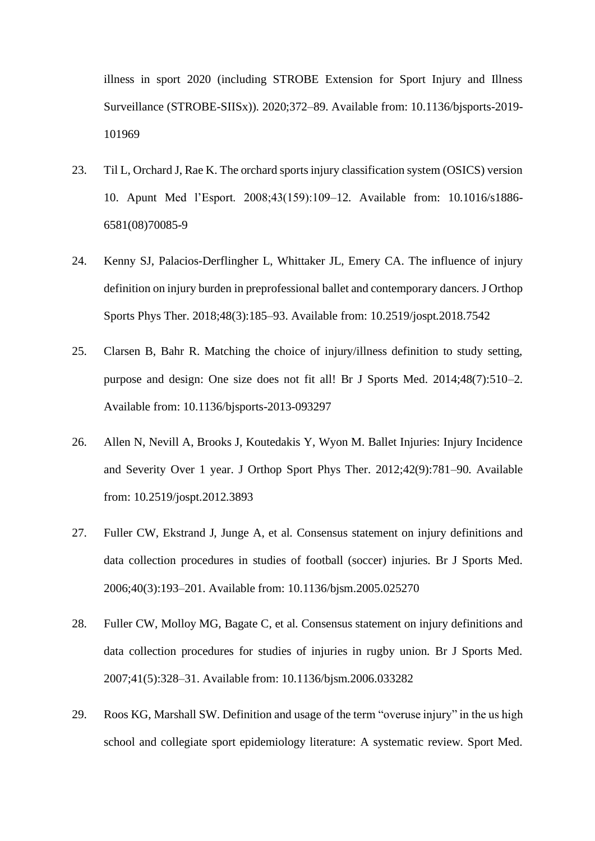illness in sport 2020 (including STROBE Extension for Sport Injury and Illness Surveillance (STROBE-SIISx)). 2020;372–89. Available from: 10.1136/bjsports-2019- 101969

- 23. Til L, Orchard J, Rae K. The orchard sports injury classification system (OSICS) version 10. Apunt Med l'Esport. 2008;43(159):109–12. Available from: 10.1016/s1886- 6581(08)70085-9
- 24. Kenny SJ, Palacios-Derflingher L, Whittaker JL, Emery CA. The influence of injury definition on injury burden in preprofessional ballet and contemporary dancers. J Orthop Sports Phys Ther. 2018;48(3):185–93. Available from: 10.2519/jospt.2018.7542
- 25. Clarsen B, Bahr R. Matching the choice of injury/illness definition to study setting, purpose and design: One size does not fit all! Br J Sports Med. 2014;48(7):510–2. Available from: 10.1136/bjsports-2013-093297
- 26. Allen N, Nevill A, Brooks J, Koutedakis Y, Wyon M. Ballet Injuries: Injury Incidence and Severity Over 1 year. J Orthop Sport Phys Ther. 2012;42(9):781–90. Available from: 10.2519/jospt.2012.3893
- 27. Fuller CW, Ekstrand J, Junge A, et al. Consensus statement on injury definitions and data collection procedures in studies of football (soccer) injuries. Br J Sports Med. 2006;40(3):193–201. Available from: 10.1136/bjsm.2005.025270
- 28. Fuller CW, Molloy MG, Bagate C, et al. Consensus statement on injury definitions and data collection procedures for studies of injuries in rugby union. Br J Sports Med. 2007;41(5):328–31. Available from: 10.1136/bjsm.2006.033282
- 29. Roos KG, Marshall SW. Definition and usage of the term "overuse injury" in the us high school and collegiate sport epidemiology literature: A systematic review. Sport Med.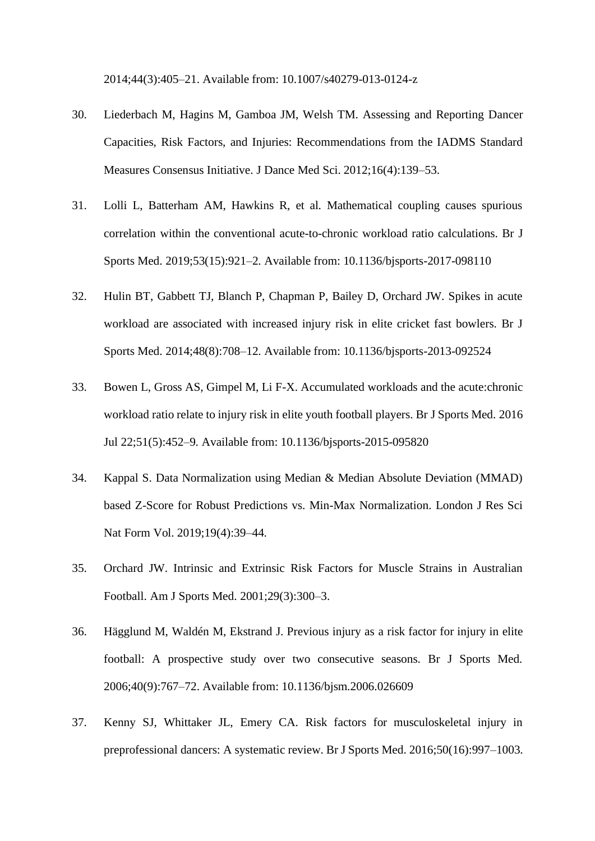2014;44(3):405–21. Available from: 10.1007/s40279-013-0124-z

- 30. Liederbach M, Hagins M, Gamboa JM, Welsh TM. Assessing and Reporting Dancer Capacities, Risk Factors, and Injuries: Recommendations from the IADMS Standard Measures Consensus Initiative. J Dance Med Sci. 2012;16(4):139–53.
- 31. Lolli L, Batterham AM, Hawkins R, et al. Mathematical coupling causes spurious correlation within the conventional acute-to-chronic workload ratio calculations. Br J Sports Med. 2019;53(15):921–2. Available from: 10.1136/bjsports-2017-098110
- 32. Hulin BT, Gabbett TJ, Blanch P, Chapman P, Bailey D, Orchard JW. Spikes in acute workload are associated with increased injury risk in elite cricket fast bowlers. Br J Sports Med. 2014;48(8):708–12. Available from: 10.1136/bjsports-2013-092524
- 33. Bowen L, Gross AS, Gimpel M, Li F-X. Accumulated workloads and the acute:chronic workload ratio relate to injury risk in elite youth football players. Br J Sports Med. 2016 Jul 22;51(5):452–9. Available from: 10.1136/bjsports-2015-095820
- 34. Kappal S. Data Normalization using Median & Median Absolute Deviation (MMAD) based Z-Score for Robust Predictions vs. Min-Max Normalization. London J Res Sci Nat Form Vol. 2019;19(4):39–44.
- 35. Orchard JW. Intrinsic and Extrinsic Risk Factors for Muscle Strains in Australian Football. Am J Sports Med. 2001;29(3):300–3.
- 36. Hägglund M, Waldén M, Ekstrand J. Previous injury as a risk factor for injury in elite football: A prospective study over two consecutive seasons. Br J Sports Med. 2006;40(9):767–72. Available from: 10.1136/bjsm.2006.026609
- 37. Kenny SJ, Whittaker JL, Emery CA. Risk factors for musculoskeletal injury in preprofessional dancers: A systematic review. Br J Sports Med. 2016;50(16):997–1003.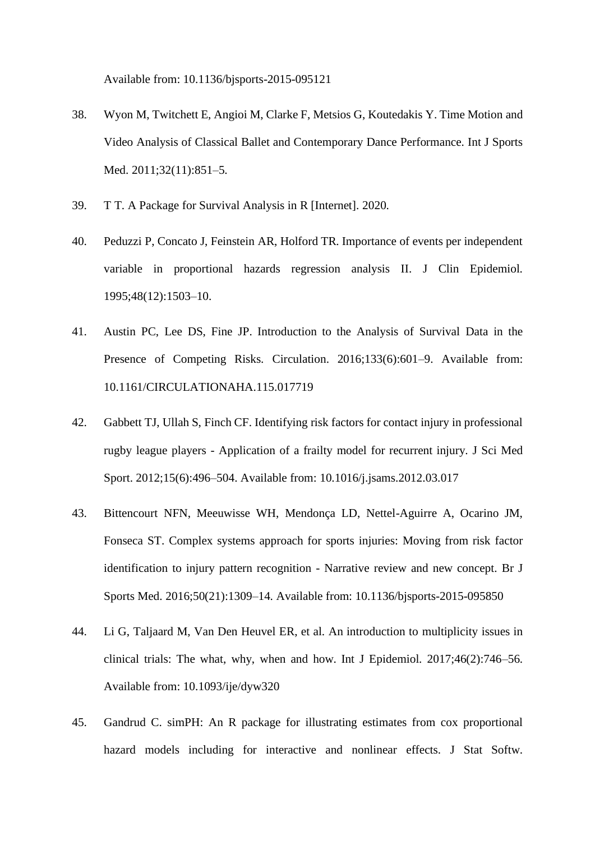Available from: 10.1136/bjsports-2015-095121

- 38. Wyon M, Twitchett E, Angioi M, Clarke F, Metsios G, Koutedakis Y. Time Motion and Video Analysis of Classical Ballet and Contemporary Dance Performance. Int J Sports Med. 2011;32(11):851–5.
- 39. T T. A Package for Survival Analysis in R [Internet]. 2020.
- 40. Peduzzi P, Concato J, Feinstein AR, Holford TR. Importance of events per independent variable in proportional hazards regression analysis II. J Clin Epidemiol. 1995;48(12):1503–10.
- 41. Austin PC, Lee DS, Fine JP. Introduction to the Analysis of Survival Data in the Presence of Competing Risks. Circulation. 2016;133(6):601–9. Available from: 10.1161/CIRCULATIONAHA.115.017719
- 42. Gabbett TJ, Ullah S, Finch CF. Identifying risk factors for contact injury in professional rugby league players - Application of a frailty model for recurrent injury. J Sci Med Sport. 2012;15(6):496–504. Available from: 10.1016/j.jsams.2012.03.017
- 43. Bittencourt NFN, Meeuwisse WH, Mendonça LD, Nettel-Aguirre A, Ocarino JM, Fonseca ST. Complex systems approach for sports injuries: Moving from risk factor identification to injury pattern recognition - Narrative review and new concept. Br J Sports Med. 2016;50(21):1309–14. Available from: 10.1136/bjsports-2015-095850
- 44. Li G, Taljaard M, Van Den Heuvel ER, et al. An introduction to multiplicity issues in clinical trials: The what, why, when and how. Int J Epidemiol. 2017;46(2):746–56. Available from: 10.1093/ije/dyw320
- 45. Gandrud C. simPH: An R package for illustrating estimates from cox proportional hazard models including for interactive and nonlinear effects. J Stat Softw.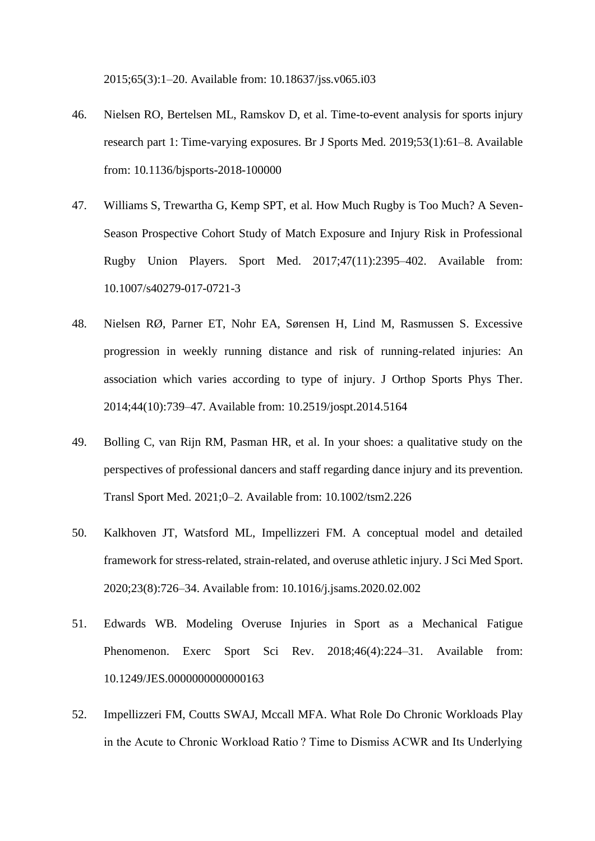2015;65(3):1–20. Available from: 10.18637/jss.v065.i03

- 46. Nielsen RO, Bertelsen ML, Ramskov D, et al. Time-to-event analysis for sports injury research part 1: Time-varying exposures. Br J Sports Med. 2019;53(1):61–8. Available from: 10.1136/bjsports-2018-100000
- 47. Williams S, Trewartha G, Kemp SPT, et al. How Much Rugby is Too Much? A Seven-Season Prospective Cohort Study of Match Exposure and Injury Risk in Professional Rugby Union Players. Sport Med. 2017;47(11):2395–402. Available from: 10.1007/s40279-017-0721-3
- 48. Nielsen RØ, Parner ET, Nohr EA, Sørensen H, Lind M, Rasmussen S. Excessive progression in weekly running distance and risk of running-related injuries: An association which varies according to type of injury. J Orthop Sports Phys Ther. 2014;44(10):739–47. Available from: 10.2519/jospt.2014.5164
- 49. Bolling C, van Rijn RM, Pasman HR, et al. In your shoes: a qualitative study on the perspectives of professional dancers and staff regarding dance injury and its prevention. Transl Sport Med. 2021;0–2. Available from: 10.1002/tsm2.226
- 50. Kalkhoven JT, Watsford ML, Impellizzeri FM. A conceptual model and detailed framework for stress-related, strain-related, and overuse athletic injury. J Sci Med Sport. 2020;23(8):726–34. Available from: 10.1016/j.jsams.2020.02.002
- 51. Edwards WB. Modeling Overuse Injuries in Sport as a Mechanical Fatigue Phenomenon. Exerc Sport Sci Rev. 2018;46(4):224–31. Available from: 10.1249/JES.0000000000000163
- 52. Impellizzeri FM, Coutts SWAJ, Mccall MFA. What Role Do Chronic Workloads Play in the Acute to Chronic Workload Ratio ? Time to Dismiss ACWR and Its Underlying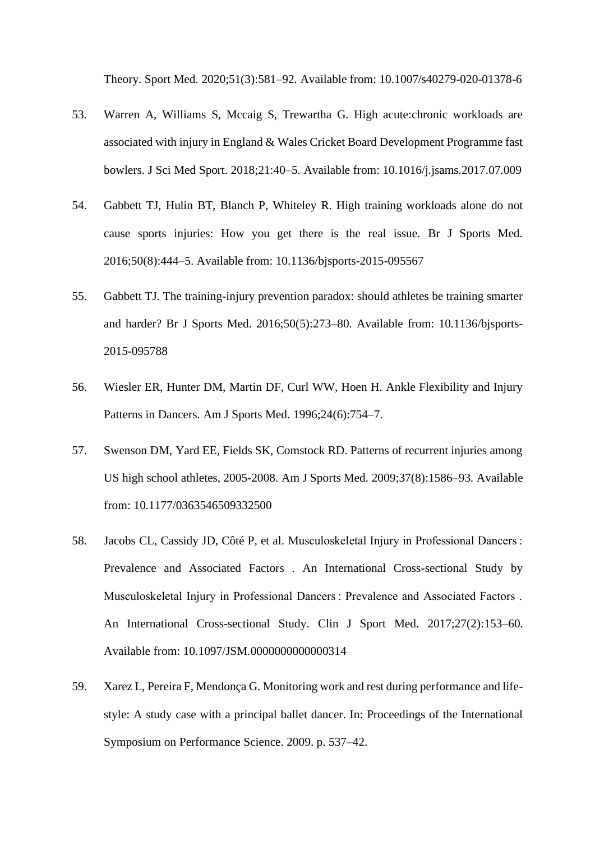Theory. Sport Med. 2020;51(3):581–92. Available from: 10.1007/s40279-020-01378-6

- 53. Warren A, Williams S, Mccaig S, Trewartha G. High acute:chronic workloads are associated with injury in England & Wales Cricket Board Development Programme fast bowlers. J Sci Med Sport. 2018;21:40–5. Available from: 10.1016/j.jsams.2017.07.009
- 54. Gabbett TJ, Hulin BT, Blanch P, Whiteley R. High training workloads alone do not cause sports injuries: How you get there is the real issue. Br J Sports Med. 2016;50(8):444–5. Available from: 10.1136/bjsports-2015-095567
- 55. Gabbett TJ. The training-injury prevention paradox: should athletes be training smarter and harder? Br J Sports Med. 2016;50(5):273–80. Available from: 10.1136/bjsports-2015-095788
- 56. Wiesler ER, Hunter DM, Martin DF, Curl WW, Hoen H. Ankle Flexibility and Injury Patterns in Dancers. Am J Sports Med. 1996;24(6):754–7.
- 57. Swenson DM, Yard EE, Fields SK, Comstock RD. Patterns of recurrent injuries among US high school athletes, 2005-2008. Am J Sports Med. 2009;37(8):1586–93. Available from: 10.1177/0363546509332500
- 58. Jacobs CL, Cassidy JD, Côté P, et al. Musculoskeletal Injury in Professional Dancers : Prevalence and Associated Factors . An International Cross-sectional Study by Musculoskeletal Injury in Professional Dancers : Prevalence and Associated Factors . An International Cross-sectional Study. Clin J Sport Med. 2017;27(2):153–60. Available from: 10.1097/JSM.0000000000000314
- 59. Xarez L, Pereira F, Mendonça G. Monitoring work and rest during performance and lifestyle: A study case with a principal ballet dancer. In: Proceedings of the International Symposium on Performance Science. 2009. p. 537–42.